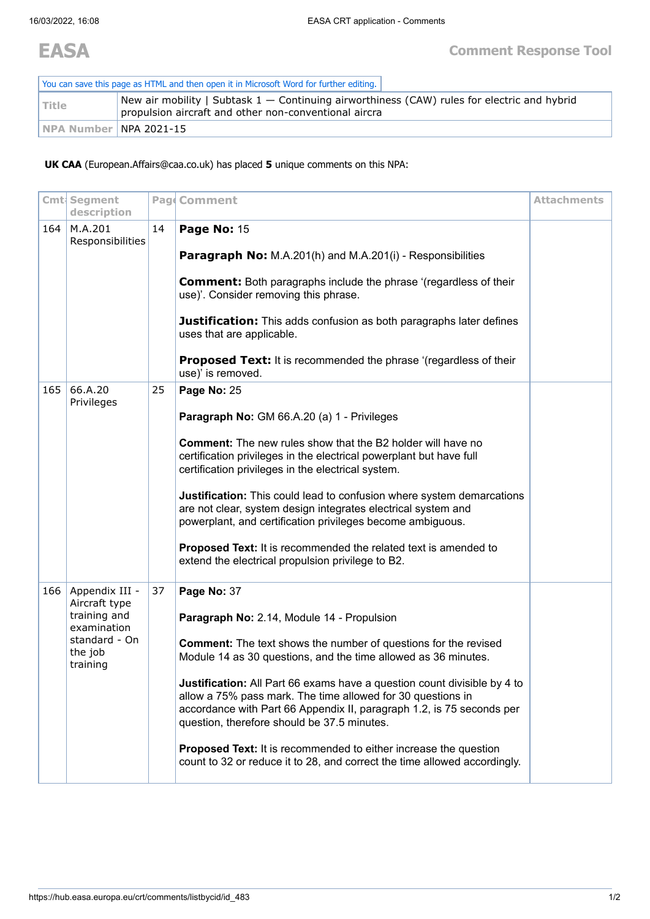| You can save this page as HTML and then open it in Microsoft Word for further editing. |                                                                                                                                                          |  |  |  |  |  |
|----------------------------------------------------------------------------------------|----------------------------------------------------------------------------------------------------------------------------------------------------------|--|--|--|--|--|
| l Title                                                                                | New air mobility   Subtask $1$ $-$ Continuing airworthiness (CAW) rules for electric and hybrid<br>propulsion aircraft and other non-conventional aircra |  |  |  |  |  |
| INPA Number INPA 2021-15                                                               |                                                                                                                                                          |  |  |  |  |  |

**UK CAA** (European.Affairs@caa.co.uk) has placed **5** unique comments on this NPA:

|     | Cmt Segment<br>description           |    | Pag Comment                                                                                                                                                                                                                                                     | <b>Attachments</b> |
|-----|--------------------------------------|----|-----------------------------------------------------------------------------------------------------------------------------------------------------------------------------------------------------------------------------------------------------------------|--------------------|
| 164 | M.A.201<br>Responsibilities          | 14 | Page No: 15                                                                                                                                                                                                                                                     |                    |
|     |                                      |    | Paragraph No: M.A.201(h) and M.A.201(i) - Responsibilities                                                                                                                                                                                                      |                    |
|     |                                      |    | <b>Comment:</b> Both paragraphs include the phrase '(regardless of their<br>use)'. Consider removing this phrase.                                                                                                                                               |                    |
|     |                                      |    | <b>Justification:</b> This adds confusion as both paragraphs later defines<br>uses that are applicable.                                                                                                                                                         |                    |
|     |                                      |    | <b>Proposed Text:</b> It is recommended the phrase '(regardless of their<br>use)' is removed.                                                                                                                                                                   |                    |
| 165 | 66.A.20<br>Privileges                | 25 | Page No: 25                                                                                                                                                                                                                                                     |                    |
|     |                                      |    | Paragraph No: GM 66.A.20 (a) 1 - Privileges                                                                                                                                                                                                                     |                    |
|     |                                      |    | <b>Comment:</b> The new rules show that the B2 holder will have no<br>certification privileges in the electrical powerplant but have full<br>certification privileges in the electrical system.                                                                 |                    |
|     |                                      |    | Justification: This could lead to confusion where system demarcations<br>are not clear, system design integrates electrical system and<br>powerplant, and certification privileges become ambiguous.                                                            |                    |
|     |                                      |    | Proposed Text: It is recommended the related text is amended to<br>extend the electrical propulsion privilege to B2.                                                                                                                                            |                    |
| 166 | Appendix III -<br>Aircraft type      | 37 | Page No: 37                                                                                                                                                                                                                                                     |                    |
|     | training and<br>examination          |    | Paragraph No: 2.14, Module 14 - Propulsion                                                                                                                                                                                                                      |                    |
|     | standard - On<br>the job<br>training |    | <b>Comment:</b> The text shows the number of questions for the revised<br>Module 14 as 30 questions, and the time allowed as 36 minutes.                                                                                                                        |                    |
|     |                                      |    | Justification: All Part 66 exams have a question count divisible by 4 to<br>allow a 75% pass mark. The time allowed for 30 questions in<br>accordance with Part 66 Appendix II, paragraph 1.2, is 75 seconds per<br>question, therefore should be 37.5 minutes. |                    |
|     |                                      |    | <b>Proposed Text:</b> It is recommended to either increase the question<br>count to 32 or reduce it to 28, and correct the time allowed accordingly.                                                                                                            |                    |